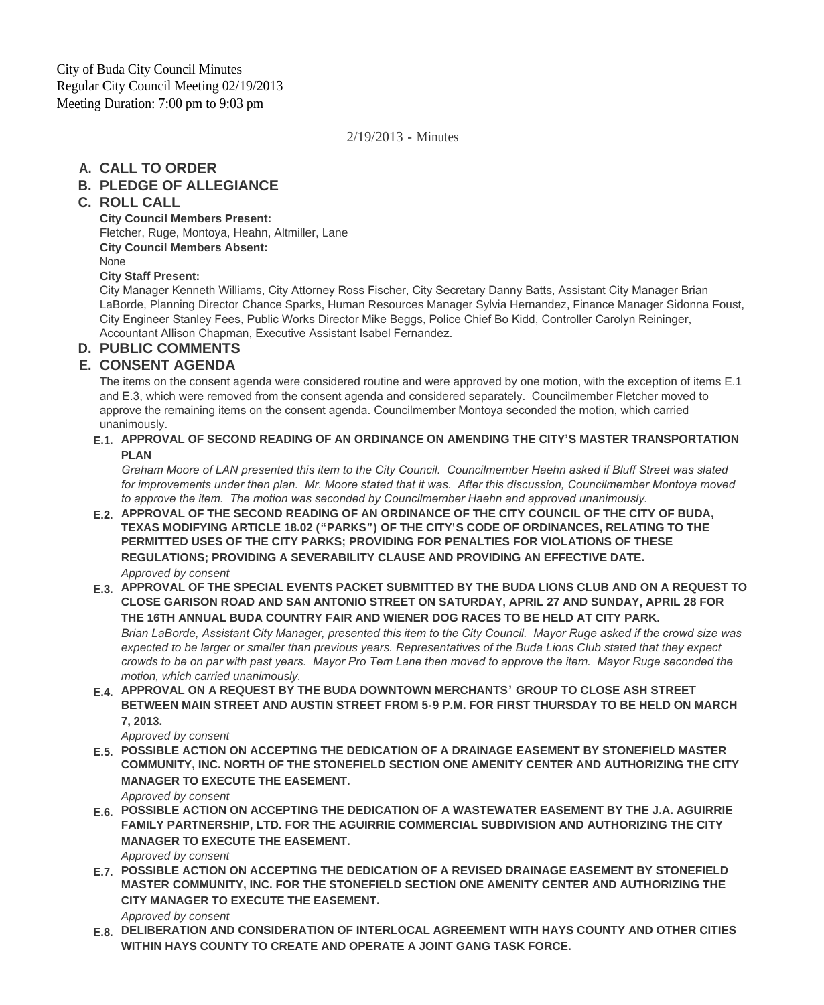### 2/19/2013 - Minutes

# **CALL TO ORDER A.**

# **PLEDGE OF ALLEGIANCE B.**

## **ROLL CALL C.**

**City Council Members Present:** Fletcher, Ruge, Montoya, Heahn, Altmiller, Lane **City Council Members Absent:** None

### **City Staff Present:**

City Manager Kenneth Williams, City Attorney Ross Fischer, City Secretary Danny Batts, Assistant City Manager Brian LaBorde, Planning Director Chance Sparks, Human Resources Manager Sylvia Hernandez, Finance Manager Sidonna Foust, City Engineer Stanley Fees, Public Works Director Mike Beggs, Police Chief Bo Kidd, Controller Carolyn Reininger, Accountant Allison Chapman, Executive Assistant Isabel Fernandez.

# **PUBLIC COMMENTS D.**

## **CONSENT AGENDA E.**

The items on the consent agenda were considered routine and were approved by one motion, with the exception of items E.1 and E.3, which were removed from the consent agenda and considered separately. Councilmember Fletcher moved to approve the remaining items on the consent agenda. Councilmember Montoya seconded the motion, which carried unanimously.

### **APPROVAL OF SECOND READING OF AN ORDINANCE ON AMENDING THE CITY'S MASTER TRANSPORTATION E.1. PLAN**

*Graham Moore of LAN presented this item to the City Council. Councilmember Haehn asked if Bluff Street was slated for improvements under then plan. Mr. Moore stated that it was. After this discussion, Councilmember Montoya moved to approve the item. The motion was seconded by Councilmember Haehn and approved unanimously.*

- **APPROVAL OF THE SECOND READING OF AN ORDINANCE OF THE CITY COUNCIL OF THE CITY OF BUDA, E.2. TEXAS MODIFYING ARTICLE 18.02 ("PARKS") OF THE CITY'S CODE OF ORDINANCES, RELATING TO THE PERMITTED USES OF THE CITY PARKS; PROVIDING FOR PENALTIES FOR VIOLATIONS OF THESE REGULATIONS; PROVIDING A SEVERABILITY CLAUSE AND PROVIDING AN EFFECTIVE DATE.** *Approved by consent*
- **APPROVAL OF THE SPECIAL EVENTS PACKET SUBMITTED BY THE BUDA LIONS CLUB AND ON A REQUEST TO E.3. CLOSE GARISON ROAD AND SAN ANTONIO STREET ON SATURDAY, APRIL 27 AND SUNDAY, APRIL 28 FOR THE 16TH ANNUAL BUDA COUNTRY FAIR AND WIENER DOG RACES TO BE HELD AT CITY PARK.** *Brian LaBorde, Assistant City Manager, presented this item to the City Council. Mayor Ruge asked if the crowd size was expected to be larger or smaller than previous years. Representatives of the Buda Lions Club stated that they expect crowds to be on par with past years. Mayor Pro Tem Lane then moved to approve the item. Mayor Ruge seconded the motion, which carried unanimously.*
- **APPROVAL ON A REQUEST BY THE BUDA DOWNTOWN MERCHANTS' GROUP TO CLOSE ASH STREET E.4. BETWEEN MAIN STREET AND AUSTIN STREET FROM 5-9 P.M. FOR FIRST THURSDAY TO BE HELD ON MARCH 7, 2013.**

*Approved by consent*

- **POSSIBLE ACTION ON ACCEPTING THE DEDICATION OF A DRAINAGE EASEMENT BY STONEFIELD MASTER E.5. COMMUNITY, INC. NORTH OF THE STONEFIELD SECTION ONE AMENITY CENTER AND AUTHORIZING THE CITY MANAGER TO EXECUTE THE EASEMENT.** *Approved by consent*
- **POSSIBLE ACTION ON ACCEPTING THE DEDICATION OF A WASTEWATER EASEMENT BY THE J.A. AGUIRRIE E.6. FAMILY PARTNERSHIP, LTD. FOR THE AGUIRRIE COMMERCIAL SUBDIVISION AND AUTHORIZING THE CITY MANAGER TO EXECUTE THE EASEMENT.**

*Approved by consent*

**POSSIBLE ACTION ON ACCEPTING THE DEDICATION OF A REVISED DRAINAGE EASEMENT BY STONEFIELD E.7. MASTER COMMUNITY, INC. FOR THE STONEFIELD SECTION ONE AMENITY CENTER AND AUTHORIZING THE CITY MANAGER TO EXECUTE THE EASEMENT.**

*Approved by consent*

**DELIBERATION AND CONSIDERATION OF INTERLOCAL AGREEMENT WITH HAYS COUNTY AND OTHER CITIES E.8. WITHIN HAYS COUNTY TO CREATE AND OPERATE A JOINT GANG TASK FORCE.**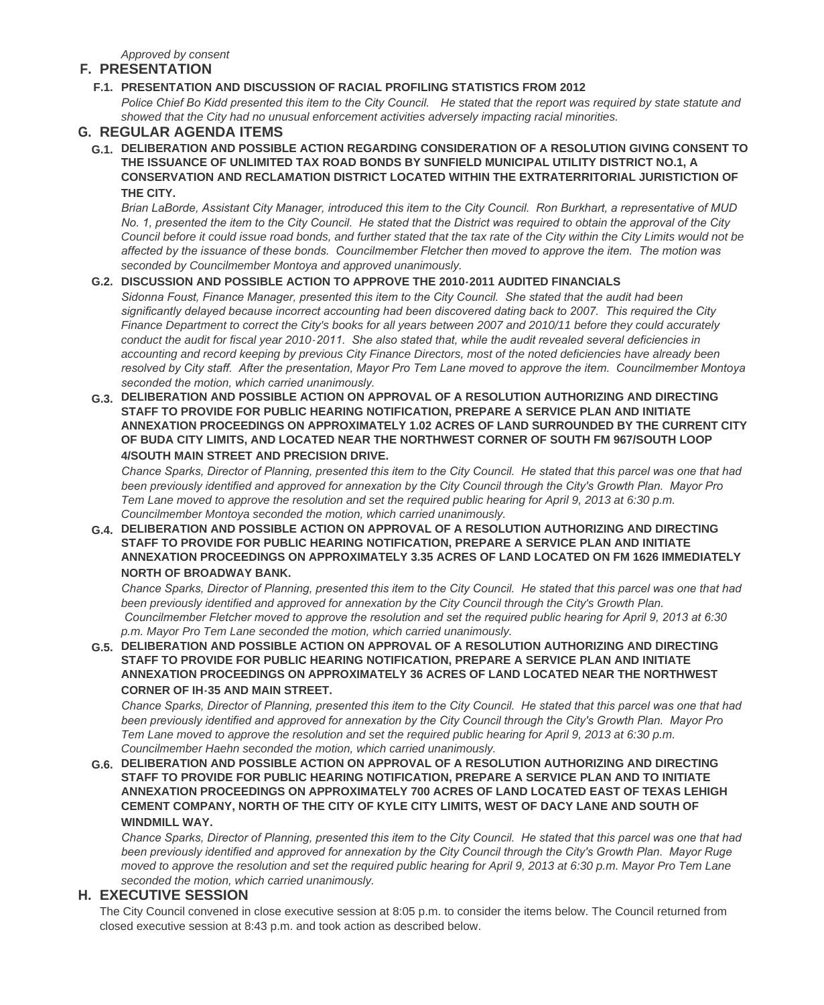*Approved by consent*

### **PRESENTATION F.**

### **PRESENTATION AND DISCUSSION OF RACIAL PROFILING STATISTICS FROM 2012 F.1.**

*Police Chief Bo Kidd presented this item to the City Council. He stated that the report was required by state statute and showed that the City had no unusual enforcement activities adversely impacting racial minorities.*

### **REGULAR AGENDA ITEMS G.**

**DELIBERATION AND POSSIBLE ACTION REGARDING CONSIDERATION OF A RESOLUTION GIVING CONSENT TO G.1. THE ISSUANCE OF UNLIMITED TAX ROAD BONDS BY SUNFIELD MUNICIPAL UTILITY DISTRICT NO.1, A CONSERVATION AND RECLAMATION DISTRICT LOCATED WITHIN THE EXTRATERRITORIAL JURISTICTION OF THE CITY.**

*Brian LaBorde, Assistant City Manager, introduced this item to the City Council. Ron Burkhart, a representative of MUD No. 1, presented the item to the City Council. He stated that the District was required to obtain the approval of the City Council before it could issue road bonds, and further stated that the tax rate of the City within the City Limits would not be affected by the issuance of these bonds. Councilmember Fletcher then moved to approve the item. The motion was seconded by Councilmember Montoya and approved unanimously.*

### **DISCUSSION AND POSSIBLE ACTION TO APPROVE THE 2010-2011 AUDITED FINANCIALS G.2.**

*Sidonna Foust, Finance Manager, presented this item to the City Council. She stated that the audit had been significantly delayed because incorrect accounting had been discovered dating back to 2007. This required the City Finance Department to correct the City's books for all years between 2007 and 2010/11 before they could accurately conduct the audit for fiscal year 2010-2011. She also stated that, while the audit revealed several deficiencies in accounting and record keeping by previous City Finance Directors, most of the noted deficiencies have already been resolved by City staff. After the presentation, Mayor Pro Tem Lane moved to approve the item. Councilmember Montoya seconded the motion, which carried unanimously.* 

**DELIBERATION AND POSSIBLE ACTION ON APPROVAL OF A RESOLUTION AUTHORIZING AND DIRECTING G.3. STAFF TO PROVIDE FOR PUBLIC HEARING NOTIFICATION, PREPARE A SERVICE PLAN AND INITIATE ANNEXATION PROCEEDINGS ON APPROXIMATELY 1.02 ACRES OF LAND SURROUNDED BY THE CURRENT CITY OF BUDA CITY LIMITS, AND LOCATED NEAR THE NORTHWEST CORNER OF SOUTH FM 967/SOUTH LOOP 4/SOUTH MAIN STREET AND PRECISION DRIVE.**

*Chance Sparks, Director of Planning, presented this item to the City Council. He stated that this parcel was one that had been previously identified and approved for annexation by the City Council through the City's Growth Plan. Mayor Pro Tem Lane moved to approve the resolution and set the required public hearing for April 9, 2013 at 6:30 p.m. Councilmember Montoya seconded the motion, which carried unanimously.*

**DELIBERATION AND POSSIBLE ACTION ON APPROVAL OF A RESOLUTION AUTHORIZING AND DIRECTING G.4. STAFF TO PROVIDE FOR PUBLIC HEARING NOTIFICATION, PREPARE A SERVICE PLAN AND INITIATE ANNEXATION PROCEEDINGS ON APPROXIMATELY 3.35 ACRES OF LAND LOCATED ON FM 1626 IMMEDIATELY NORTH OF BROADWAY BANK.**

*Chance Sparks, Director of Planning, presented this item to the City Council. He stated that this parcel was one that had been previously identified and approved for annexation by the City Council through the City's Growth Plan. Councilmember Fletcher moved to approve the resolution and set the required public hearing for April 9, 2013 at 6:30 p.m. Mayor Pro Tem Lane seconded the motion, which carried unanimously.*

**DELIBERATION AND POSSIBLE ACTION ON APPROVAL OF A RESOLUTION AUTHORIZING AND DIRECTING G.5. STAFF TO PROVIDE FOR PUBLIC HEARING NOTIFICATION, PREPARE A SERVICE PLAN AND INITIATE ANNEXATION PROCEEDINGS ON APPROXIMATELY 36 ACRES OF LAND LOCATED NEAR THE NORTHWEST CORNER OF IH-35 AND MAIN STREET.**

*Chance Sparks, Director of Planning, presented this item to the City Council. He stated that this parcel was one that had been previously identified and approved for annexation by the City Council through the City's Growth Plan. Mayor Pro Tem Lane moved to approve the resolution and set the required public hearing for April 9, 2013 at 6:30 p.m. Councilmember Haehn seconded the motion, which carried unanimously.*

**DELIBERATION AND POSSIBLE ACTION ON APPROVAL OF A RESOLUTION AUTHORIZING AND DIRECTING G.6. STAFF TO PROVIDE FOR PUBLIC HEARING NOTIFICATION, PREPARE A SERVICE PLAN AND TO INITIATE ANNEXATION PROCEEDINGS ON APPROXIMATELY 700 ACRES OF LAND LOCATED EAST OF TEXAS LEHIGH CEMENT COMPANY, NORTH OF THE CITY OF KYLE CITY LIMITS, WEST OF DACY LANE AND SOUTH OF WINDMILL WAY.**

*Chance Sparks, Director of Planning, presented this item to the City Council. He stated that this parcel was one that had been previously identified and approved for annexation by the City Council through the City's Growth Plan. Mayor Ruge moved to approve the resolution and set the required public hearing for April 9, 2013 at 6:30 p.m. Mayor Pro Tem Lane seconded the motion, which carried unanimously.*

### **EXECUTIVE SESSION H.**

The City Council convened in close executive session at 8:05 p.m. to consider the items below. The Council returned from closed executive session at 8:43 p.m. and took action as described below.